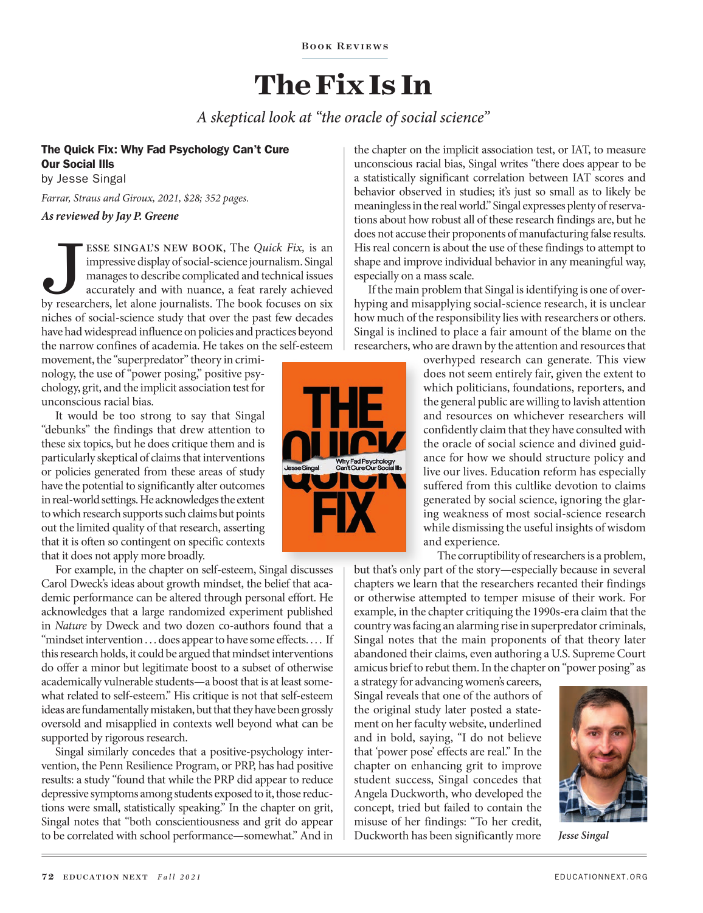BOOK REVIEWS

## **The Fix Is In**

*A skeptical look at "the oracle of social science"*

### The Quick Fix: Why Fad Psychology Can't Cure Our Social Ills

by Jesse Singal

*Farrar, Straus and Giroux, 2021, \$28; 352 pages.*

#### *As reviewed by Jay P. Greene*

**ESSE SINGAL'S NEW BOOK, The** *Quick Fix***, is an impressive display of social-science journalism. Singal manages to describe complicated and technical issues accurately and with nuance, a feat rarely achieved by researchers** impressive display of social-science journalism. Singal manages to describe complicated and technical issues accurately and with nuance, a feat rarely achieved niches of social-science study that over the past few decades have had widespread influence on policies and practices beyond the narrow confines of academia. He takes on the self-esteem

movement, the "superpredator" theory in criminology, the use of "power posing," positive psychology, grit, and the implicit association test for unconscious racial bias.

It would be too strong to say that Singal "debunks" the findings that drew attention to these six topics, but he does critique them and is particularly skeptical of claims that interventions or policies generated from these areas of study have the potential to significantly alter outcomes in real-world settings. He acknowledges the extent to which research supports such claims but points out the limited quality of that research, asserting that it is often so contingent on specific contexts that it does not apply more broadly.

For example, in the chapter on self-esteem, Singal discusses Carol Dweck's ideas about growth mindset, the belief that academic performance can be altered through personal effort. He acknowledges that a large randomized experiment published in *Nature* by Dweck and two dozen co-authors found that a "mindset intervention . . . does appear to have some effects. . . . If this research holds, it could be argued that mindset interventions do offer a minor but legitimate boost to a subset of otherwise academically vulnerable students—a boost that is at least somewhat related to self-esteem." His critique is not that self-esteem ideas are fundamentally mistaken, but that they have been grossly oversold and misapplied in contexts well beyond what can be supported by rigorous research.

Singal similarly concedes that a positive-psychology intervention, the Penn Resilience Program, or PRP, has had positive results: a study "found that while the PRP did appear to reduce depressive symptoms among students exposed to it, those reductions were small, statistically speaking." In the chapter on grit, Singal notes that "both conscientiousness and grit do appear to be correlated with school performance—somewhat." And in

Why Fad Psyc<br>Can't Cure Ou

the chapter on the implicit association test, or IAT, to measure unconscious racial bias, Singal writes "there does appear to be a statistically significant correlation between IAT scores and behavior observed in studies; it's just so small as to likely be meaningless in the real world." Singal expresses plenty of reservations about how robust all of these research findings are, but he does not accuse their proponents of manufacturing false results. His real concern is about the use of these findings to attempt to shape and improve individual behavior in any meaningful way, especially on a mass scale.

If the main problem that Singal is identifying is one of overhyping and misapplying social-science research, it is unclear how much of the responsibility lies with researchers or others. Singal is inclined to place a fair amount of the blame on the researchers, who are drawn by the attention and resources that

> overhyped research can generate. This view does not seem entirely fair, given the extent to which politicians, foundations, reporters, and the general public are willing to lavish attention and resources on whichever researchers will confidently claim that they have consulted with the oracle of social science and divined guidance for how we should structure policy and live our lives. Education reform has especially suffered from this cultlike devotion to claims generated by social science, ignoring the glaring weakness of most social-science research while dismissing the useful insights of wisdom and experience.

The corruptibility of researchers is a problem, but that's only part of the story—especially because in several chapters we learn that the researchers recanted their findings or otherwise attempted to temper misuse of their work. For example, in the chapter critiquing the 1990s-era claim that the country was facing an alarming rise in superpredator criminals, Singal notes that the main proponents of that theory later abandoned their claims, even authoring a U.S. Supreme Court amicus brief to rebut them. In the chapter on "power posing" as

a strategy for advancing women's careers, Singal reveals that one of the authors of the original study later posted a statement on her faculty website, underlined and in bold, saying, "I do not believe that 'power pose' effects are real." In the chapter on enhancing grit to improve student success, Singal concedes that Angela Duckworth, who developed the concept, tried but failed to contain the misuse of her findings: "To her credit, Duckworth has been significantly more



*Jesse Singal*